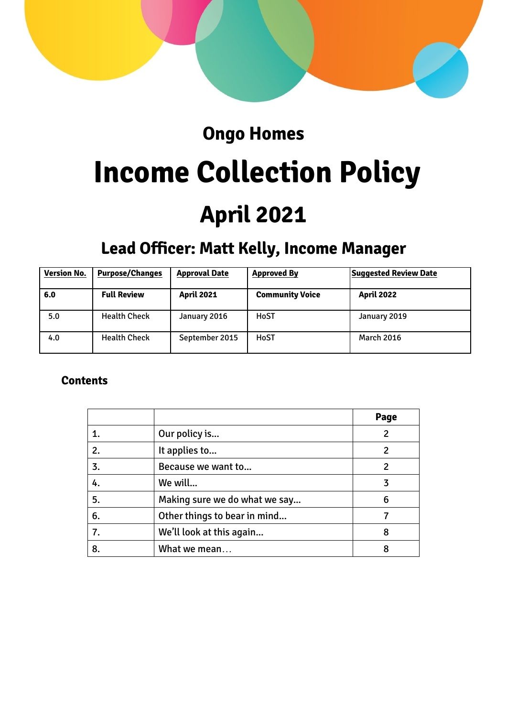

# **Ongo Homes**

# **Income Collection Policy April 2021**

# **Lead Officer: Matt Kelly, Income Manager**

| <b>Version No.</b> | <b>Purpose/Changes</b> | <b>Approval Date</b> | <b>Approved By</b>     | <b>Suggested Review Date</b> |
|--------------------|------------------------|----------------------|------------------------|------------------------------|
| 6.0                | <b>Full Review</b>     | <b>April 2021</b>    | <b>Community Voice</b> | <b>April 2022</b>            |
| 5.0                | <b>Health Check</b>    | January 2016         | HoST                   | January 2019                 |
| 4.0                | <b>Health Check</b>    | September 2015       | HoST                   | <b>March 2016</b>            |

# **Contents**

|    |                               | Page |
|----|-------------------------------|------|
|    | Our policy is                 | 2    |
| 2. | It applies to                 | 2    |
| 3. | Because we want to            | 2    |
| 4. | We will                       | 3    |
| 5. | Making sure we do what we say | 6    |
| 6. | Other things to bear in mind  |      |
| 7. | We'll look at this again      | 8    |
| 8. | What we mean                  | 8    |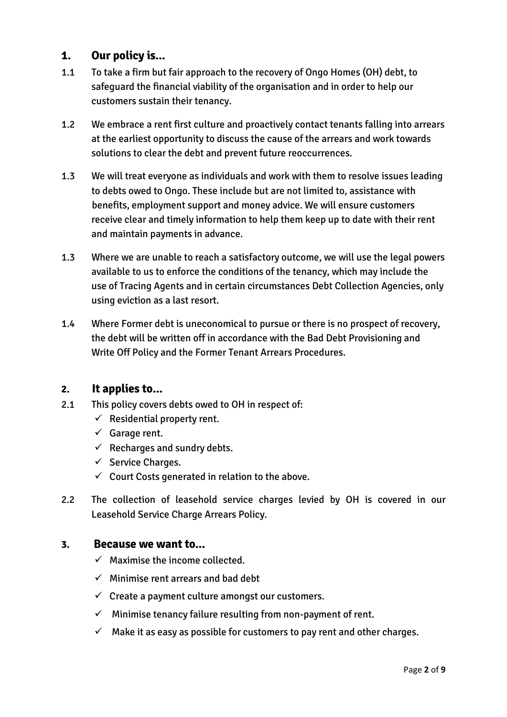# **1. Our policy is...**

- 1.1 To take a firm but fair approach to the recovery of Ongo Homes (OH) debt, to safeguard the financial viability of the organisation and in order to help our customers sustain their tenancy.
- 1.2 We embrace a rent first culture and proactively contact tenants falling into arrears at the earliest opportunity to discuss the cause of the arrears and work towards solutions to clear the debt and prevent future reoccurrences.
- 1.3 We will treat everyone as individuals and work with them to resolve issues leading to debts owed to Ongo. These include but are not limited to, assistance with benefits, employment support and money advice. We will ensure customers receive clear and timely information to help them keep up to date with their rent and maintain payments in advance.
- 1.3 Where we are unable to reach a satisfactory outcome, we will use the legal powers available to us to enforce the conditions of the tenancy, which may include the use of Tracing Agents and in certain circumstances Debt Collection Agencies, only using eviction as a last resort.
- 1.4 Where Former debt is uneconomical to pursue or there is no prospect of recovery, the debt will be written off in accordance with the Bad Debt Provisioning and Write Off Policy and the Former Tenant Arrears Procedures.

# **2. It applies to...**

- 2.1 This policy covers debts owed to OH in respect of:
	- $\checkmark$  Residential property rent.
	- $\checkmark$  Garage rent.
	- $\checkmark$  Recharges and sundry debts.
	- $\checkmark$  Service Charges.
	- $\checkmark$  Court Costs generated in relation to the above.
- 2.2 The collection of leasehold service charges levied by OH is covered in our Leasehold Service Charge Arrears Policy.

#### **3. Because we want to...**

- $\checkmark$  Maximise the income collected.
- $\checkmark$  Minimise rent arrears and bad debt
- $\checkmark$  Create a payment culture amongst our customers.
- $\checkmark$  Minimise tenancy failure resulting from non-payment of rent.
- $\checkmark$  Make it as easy as possible for customers to pay rent and other charges.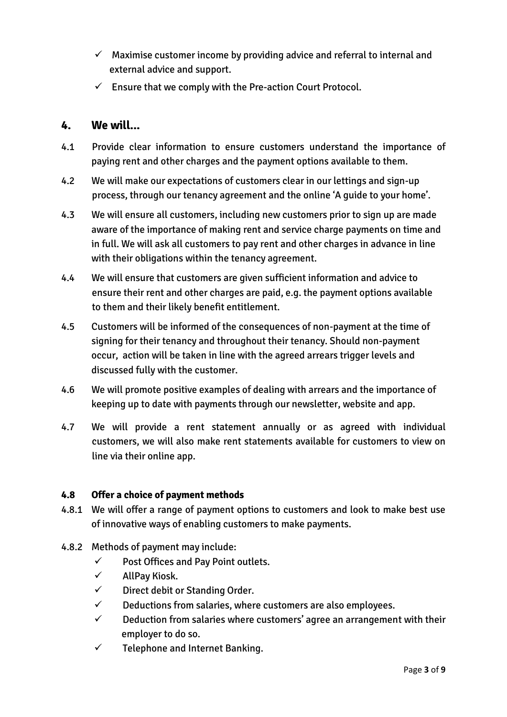- $\checkmark$  Maximise customer income by providing advice and referral to internal and external advice and support.
- $\checkmark$  Ensure that we comply with the Pre-action Court Protocol.

## **4. We will...**

- 4.1 Provide clear information to ensure customers understand the importance of paying rent and other charges and the payment options available to them.
- 4.2 We will make our expectations of customers clear in our lettings and sign-up process, through our tenancy agreement and the online 'A guide to your home'.
- 4.3 We will ensure all customers, including new customers prior to sign up are made aware of the importance of making rent and service charge payments on time and in full. We will ask all customers to pay rent and other charges in advance in line with their obligations within the tenancy agreement.
- 4.4 We will ensure that customers are given sufficient information and advice to ensure their rent and other charges are paid, e.g. the payment options available to them and their likely benefit entitlement.
- 4.5 Customers will be informed of the consequences of non-payment at the time of signing for their tenancy and throughout their tenancy. Should non-payment occur, action will be taken in line with the agreed arrears trigger levels and discussed fully with the customer.
- 4.6 We will promote positive examples of dealing with arrears and the importance of keeping up to date with payments through our newsletter, website and app.
- 4.7 We will provide a rent statement annually or as agreed with individual customers, we will also make rent statements available for customers to view on line via their online app.

#### **4.8 Offer a choice of payment methods**

- 4.8.1 We will offer a range of payment options to customers and look to make best use of innovative ways of enabling customers to make payments.
- 4.8.2 Methods of payment may include:
	- $\checkmark$  Post Offices and Pay Point outlets.
	- $\checkmark$  AllPay Kiosk.
	- $\checkmark$  Direct debit or Standing Order.
	- $\checkmark$  Deductions from salaries, where customers are also employees.
	- $\checkmark$  Deduction from salaries where customers' agree an arrangement with their employer to do so.
	- $\checkmark$  Telephone and Internet Banking.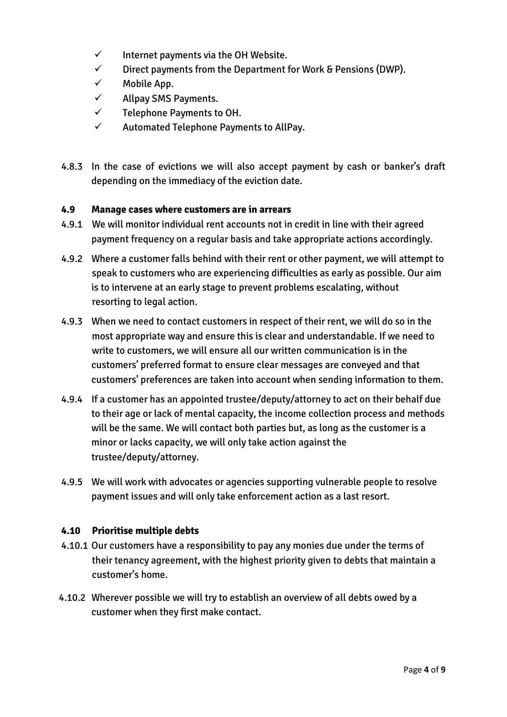- $\checkmark$  Internet payments via the OH Website.
- $\checkmark$  Direct payments from the Department for Work & Pensions (DWP).
- $\checkmark$  Mobile App.
- $\checkmark$  Allpay SMS Payments.
- $\checkmark$  Telephone Payments to OH.
- $\checkmark$  Automated Telephone Payments to AllPay.
- 4.8.3 In the case of evictions we will also accept payment by cash or banker's draft depending on the immediacy of the eviction date.

#### **4.9 Manage cases where customers are in arrears**

- 4.9.1 We will monitor individual rent accounts not in credit in line with their agreed payment frequency on a regular basis and take appropriate actions accordingly.
- 4.9.2 Where a customer falls behind with their rent or other payment, we will attempt to speak to customers who are experiencing difficulties as early as possible. Our aim is to intervene at an early stage to prevent problems escalating, without resorting to legal action.
- 4.9.3 When we need to contact customers in respect of their rent, we will do so in the most appropriate way and ensure this is clear and understandable. If we need to write to customers, we will ensure all our written communication is in the customers' preferred format to ensure clear messages are conveyed and that customers' preferences are taken into account when sending information to them.
- 4.9.4 If a customer has an appointed trustee/deputy/attorney to act on their behalf due to their age or lack of mental capacity, the income collection process and methods will be the same. We will contact both parties but, as long as the customer is a minor or lacks capacity, we will only take action against the trustee/deputy/attorney.
- 4.9.5 We will work with advocates or agencies supporting vulnerable people to resolve payment issues and will only take enforcement action as a last resort.

#### **4.10 Prioritise multiple debts**

- 4.10.1 Our customers have a responsibility to pay any monies due under the terms of their tenancy agreement, with the highest priority given to debts that maintain a customer's home.
- 4.10.2 Wherever possible we will try to establish an overview of all debts owed by a customer when they first make contact.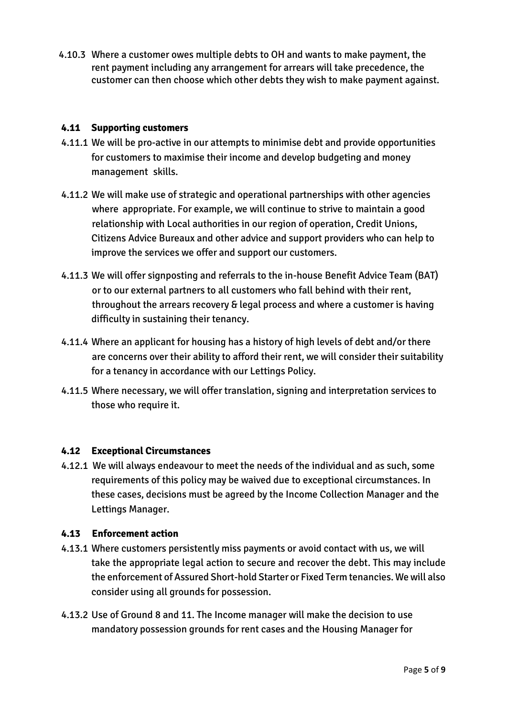4.10.3 Where a customer owes multiple debts to OH and wants to make payment, the rent payment including any arrangement for arrears will take precedence, the customer can then choose which other debts they wish to make payment against.

#### **4.11 Supporting customers**

- 4.11.1 We will be pro-active in our attempts to minimise debt and provide opportunities for customers to maximise their income and develop budgeting and money management skills.
- 4.11.2 We will make use of strategic and operational partnerships with other agencies where appropriate. For example, we will continue to strive to maintain a good relationship with Local authorities in our region of operation, Credit Unions, Citizens Advice Bureaux and other advice and support providers who can help to improve the services we offer and support our customers.
- 4.11.3 We will offer signposting and referrals to the in-house Benefit Advice Team (BAT) or to our external partners to all customers who fall behind with their rent, throughout the arrears recovery & legal process and where a customer is having difficulty in sustaining their tenancy.
- 4.11.4 Where an applicant for housing has a history of high levels of debt and/or there are concerns over their ability to afford their rent, we will consider their suitability for a tenancy in accordance with our Lettings Policy.
- 4.11.5 Where necessary, we will offer translation, signing and interpretation services to those who require it.

#### **4.12 Exceptional Circumstances**

4.12.1 We will always endeavour to meet the needs of the individual and as such, some requirements of this policy may be waived due to exceptional circumstances. In these cases, decisions must be agreed by the Income Collection Manager and the Lettings Manager.

#### **4.13 Enforcement action**

- 4.13.1 Where customers persistently miss payments or avoid contact with us, we will take the appropriate legal action to secure and recover the debt. This may include the enforcement of Assured Short-hold Starter or Fixed Term tenancies. We will also consider using all grounds for possession.
- 4.13.2 Use of Ground 8 and 11. The Income manager will make the decision to use mandatory possession grounds for rent cases and the Housing Manager for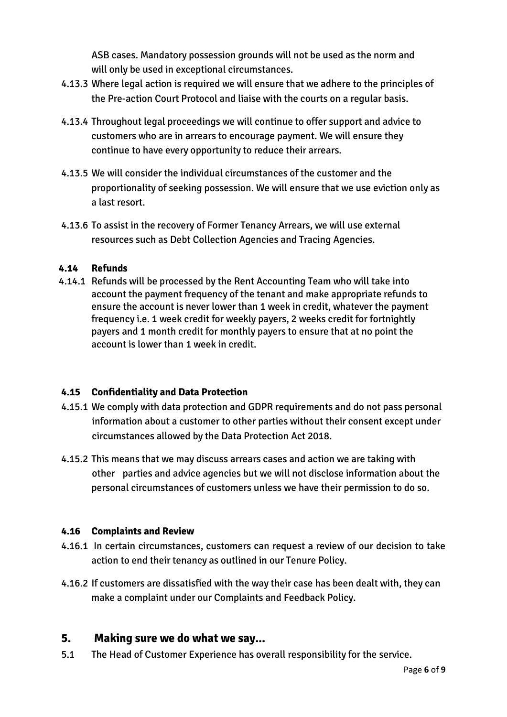ASB cases. Mandatory possession grounds will not be used as the norm and will only be used in exceptional circumstances.

- 4.13.3 Where legal action is required we will ensure that we adhere to the principles of the Pre-action Court Protocol and liaise with the courts on a regular basis.
- 4.13.4 Throughout legal proceedings we will continue to offer support and advice to customers who are in arrears to encourage payment. We will ensure they continue to have every opportunity to reduce their arrears.
- 4.13.5 We will consider the individual circumstances of the customer and the proportionality of seeking possession. We will ensure that we use eviction only as a last resort.
- 4.13.6 To assist in the recovery of Former Tenancy Arrears, we will use external resources such as Debt Collection Agencies and Tracing Agencies.

#### **4.14 Refunds**

4.14.1 Refunds will be processed by the Rent Accounting Team who will take into account the payment frequency of the tenant and make appropriate refunds to ensure the account is never lower than 1 week in credit, whatever the payment frequency i.e. 1 week credit for weekly payers, 2 weeks credit for fortnightly payers and 1 month credit for monthly payers to ensure that at no point the account is lower than 1 week in credit.

#### **4.15 Confidentiality and Data Protection**

- 4.15.1 We comply with data protection and GDPR requirements and do not pass personal information about a customer to other parties without their consent except under circumstances allowed by the Data Protection Act 2018.
- 4.15.2 This means that we may discuss arrears cases and action we are taking with other parties and advice agencies but we will not disclose information about the personal circumstances of customers unless we have their permission to do so.

#### **4.16 Complaints and Review**

- 4.16.1 In certain circumstances, customers can request a review of our decision to take action to end their tenancy as outlined in our Tenure Policy.
- 4.16.2 If customers are dissatisfied with the way their case has been dealt with, they can make a complaint under our Complaints and Feedback Policy.

#### **5. Making sure we do what we say...**

5.1 The Head of Customer Experience has overall responsibility for the service.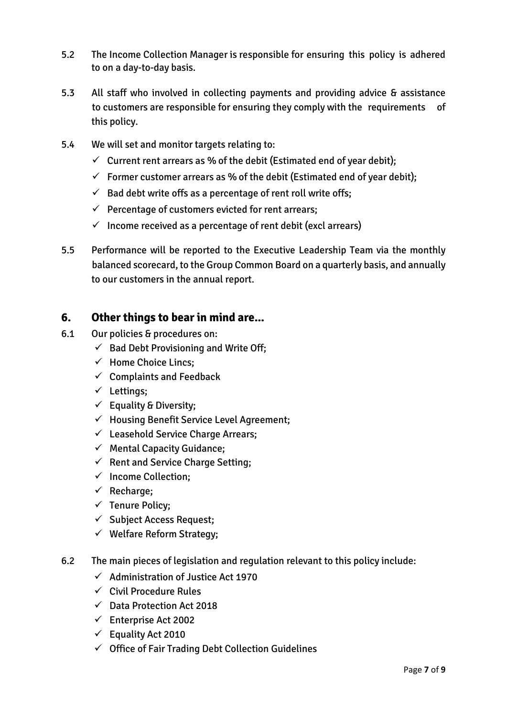- 5.2 The Income Collection Manager is responsible for ensuring this policy is adhered to on a day-to-day basis.
- 5.3 All staff who involved in collecting payments and providing advice & assistance to customers are responsible for ensuring they comply with the requirements of this policy.
- 5.4 We will set and monitor targets relating to:
	- $\checkmark$  Current rent arrears as % of the debit (Estimated end of year debit);
	- $\checkmark$  Former customer arrears as % of the debit (Estimated end of year debit);
	- $\checkmark$  Bad debt write offs as a percentage of rent roll write offs;
	- $\checkmark$  Percentage of customers evicted for rent arrears;
	- $\checkmark$  Income received as a percentage of rent debit (excl arrears)
- 5.5 Performance will be reported to the Executive Leadership Team via the monthly balanced scorecard, to the Group Common Board on a quarterly basis, and annually to our customers in the annual report.

### **6. Other things to bear in mind are...**

- 6.1 Our policies & procedures on:
	- $\checkmark$  Bad Debt Provisioning and Write Off;
	- $\checkmark$  Home Choice Lincs;
	- $\checkmark$  Complaints and Feedback
	- $\checkmark$  Lettings;
	- $\checkmark$  Equality & Diversity:
	- $\checkmark$  Housing Benefit Service Level Agreement;
	- $\checkmark$  Leasehold Service Charge Arrears;
	- $\checkmark$  Mental Capacity Guidance;
	- $\checkmark$  Rent and Service Charge Setting;
	- $\checkmark$  Income Collection;
	- $\checkmark$  Recharge;
	- $\checkmark$  Tenure Policy;
	- $\checkmark$  Subject Access Request;
	- $\checkmark$  Welfare Reform Strategy;
- 6.2 The main pieces of legislation and regulation relevant to this policy include:
	- $\checkmark$  Administration of Justice Act 1970
	- $\checkmark$  Civil Procedure Rules
	- $\checkmark$  Data Protection Act 2018
	- $\checkmark$  Enterprise Act 2002
	- $\checkmark$  Equality Act 2010
	- $\checkmark$  Office of Fair Trading Debt Collection Guidelines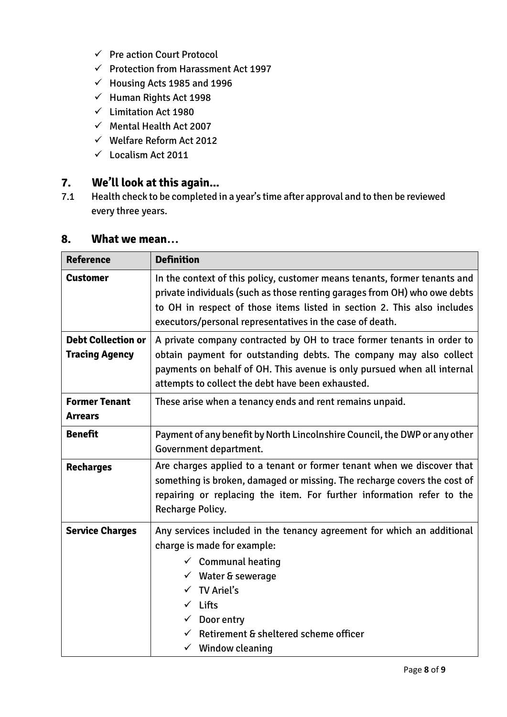- $\checkmark$  Pre action Court Protocol
- $\checkmark$  Protection from Harassment Act 1997
- $\checkmark$  Housing Acts 1985 and 1996
- $\checkmark$  Human Rights Act 1998
- $\checkmark$  Limitation Act 1980
- $\checkmark$  Mental Health Act 2007
- $\checkmark$  Welfare Reform Act 2012
- $\checkmark$  Localism Act 2011

# **7. We'll look at this again...**

7.1 Health check to be completed in a year's time after approval and to then be reviewed every three years.

| <b>Reference</b>                                   | <b>Definition</b>                                                                                                                                                                                                                                                                                                      |  |
|----------------------------------------------------|------------------------------------------------------------------------------------------------------------------------------------------------------------------------------------------------------------------------------------------------------------------------------------------------------------------------|--|
| <b>Customer</b>                                    | In the context of this policy, customer means tenants, former tenants and<br>private individuals (such as those renting garages from OH) who owe debts<br>to OH in respect of those items listed in section 2. This also includes<br>executors/personal representatives in the case of death.                          |  |
| <b>Debt Collection or</b><br><b>Tracing Agency</b> | A private company contracted by OH to trace former tenants in order to<br>obtain payment for outstanding debts. The company may also collect<br>payments on behalf of OH. This avenue is only pursued when all internal<br>attempts to collect the debt have been exhausted.                                           |  |
| <b>Former Tenant</b><br><b>Arrears</b>             | These arise when a tenancy ends and rent remains unpaid.                                                                                                                                                                                                                                                               |  |
| <b>Benefit</b>                                     | Payment of any benefit by North Lincolnshire Council, the DWP or any other<br>Government department.                                                                                                                                                                                                                   |  |
| <b>Recharges</b>                                   | Are charges applied to a tenant or former tenant when we discover that<br>something is broken, damaged or missing. The recharge covers the cost of<br>repairing or replacing the item. For further information refer to the<br>Recharge Policy.                                                                        |  |
| <b>Service Charges</b>                             | Any services included in the tenancy agreement for which an additional<br>charge is made for example:<br>$\checkmark$ Communal heating<br>$\checkmark$ Water & sewerage<br><b>TV Ariel's</b><br>$\checkmark$ Lifts<br>$\checkmark$ Door entry<br>Retirement & sheltered scheme officer<br>$\checkmark$ Window cleaning |  |

# **8. What we mean…**